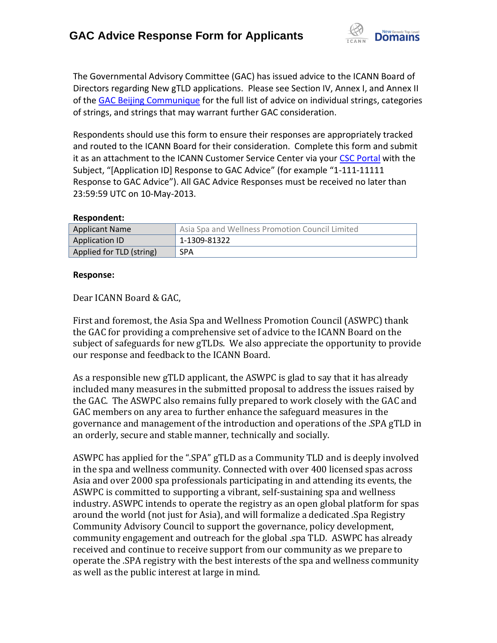

The Governmental Advisory Committee (GAC) has issued advice to the ICANN Board of Directors regarding New gTLD applications. Please see Section IV, Annex I, and Annex II of the [GAC Beijing Communique](http://www.icann.org/en/news/correspondence/gac-to-board-18apr13-en.pdf) for the full list of advice on individual strings, categories of strings, and strings that may warrant further GAC consideration.

Respondents should use this form to ensure their responses are appropriately tracked and routed to the ICANN Board for their consideration. Complete this form and submit it as an attachment to the ICANN Customer Service Center via your CSC [Portal](https://myicann.secure.force.com/) with the Subject, "[Application ID] Response to GAC Advice" (for example "1-111-11111 Response to GAC Advice"). All GAC Advice Responses must be received no later than 23:59:59 UTC on 10-May-2013.

#### **Respondent:**

| <b>Applicant Name</b>    | Asia Spa and Wellness Promotion Council Limited |
|--------------------------|-------------------------------------------------|
| Application ID           | 1-1309-81322                                    |
| Applied for TLD (string) | <b>SPA</b>                                      |

#### **Response:**

Dear ICANN Board & GAC,

First and foremost, the Asia Spa and Wellness Promotion Council (ASWPC) thank the GAC for providing a comprehensive set of advice to the ICANN Board on the subject of safeguards for new gTLDs. We also appreciate the opportunity to provide our response and feedback to the ICANN Board.

As a responsible new gTLD applicant, the ASWPC is glad to say that it has already included many measures in the submitted proposal to address the issues raised by the GAC. The ASWPC also remains fully prepared to work closely with the GAC and GAC members on any area to further enhance the safeguard measures in the governance and management of the introduction and operations of the .SPA gTLD in an orderly, secure and stable manner, technically and socially.

ASWPC has applied for the ".SPA" gTLD as a Community TLD and is deeply involved in the spa and wellness community. Connected with over 400 licensed spas across Asia and over 2000 spa professionals participating in and attending its events, the ASWPC is committed to supporting a vibrant, self-sustaining spa and wellness industry. ASWPC intends to operate the registry as an open global platform for spas around the world (not just for Asia), and will formalize a dedicated .Spa Registry Community Advisory Council to support the governance, policy development, community engagement and outreach for the global .spa TLD. ASWPC has already received and continue to receive support from our community as we prepare to operate the .SPA registry with the best interests of the spa and wellness community as well as the public interest at large in mind.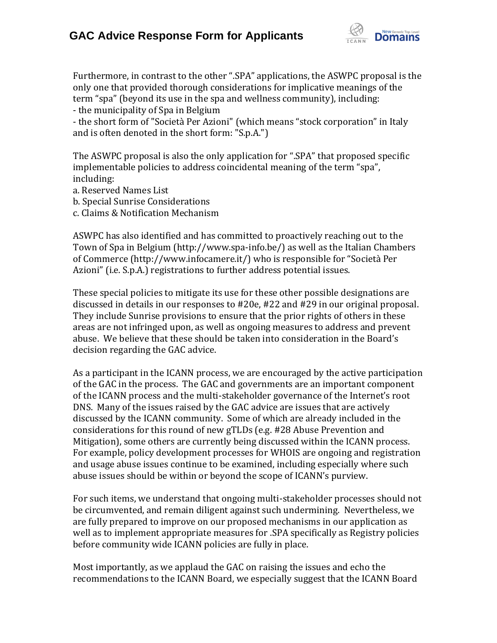

Furthermore, in contrast to the other ".SPA" applications, the ASWPC proposal is the only one that provided thorough considerations for implicative meanings of the term "spa" (beyond its use in the spa and wellness community), including:

- the municipality of Spa in Belgium

- the short form of "Società Per Azioni" (which means "stock corporation" in Italy and is often denoted in the short form: "S.p.A.")

The ASWPC proposal is also the only application for ".SPA" that proposed specific implementable policies to address coincidental meaning of the term "spa", including:

a. Reserved Names List

- b. Special Sunrise Considerations
- c. Claims & Notification Mechanism

ASWPC has also identified and has committed to proactively reaching out to the Town of Spa in Belgium (http://www.spa-info.be/) as well as the Italian Chambers of Commerce (http://www.infocamere.it/) who is responsible for "Società Per Azioni" (i.e. S.p.A.) registrations to further address potential issues.

These special policies to mitigate its use for these other possible designations are discussed in details in our responses to #20e, #22 and #29 in our original proposal. They include Sunrise provisions to ensure that the prior rights of others in these areas are not infringed upon, as well as ongoing measures to address and prevent abuse. We believe that these should be taken into consideration in the Board's decision regarding the GAC advice.

As a participant in the ICANN process, we are encouraged by the active participation of the GAC in the process. The GAC and governments are an important component of the ICANN process and the multi-stakeholder governance of the Internet's root DNS. Many of the issues raised by the GAC advice are issues that are actively discussed by the ICANN community. Some of which are already included in the considerations for this round of new gTLDs (e.g. #28 Abuse Prevention and Mitigation), some others are currently being discussed within the ICANN process. For example, policy development processes for WHOIS are ongoing and registration and usage abuse issues continue to be examined, including especially where such abuse issues should be within or beyond the scope of ICANN's purview.

For such items, we understand that ongoing multi-stakeholder processes should not be circumvented, and remain diligent against such undermining. Nevertheless, we are fully prepared to improve on our proposed mechanisms in our application as well as to implement appropriate measures for .SPA specifically as Registry policies before community wide ICANN policies are fully in place.

Most importantly, as we applaud the GAC on raising the issues and echo the recommendations to the ICANN Board, we especially suggest that the ICANN Board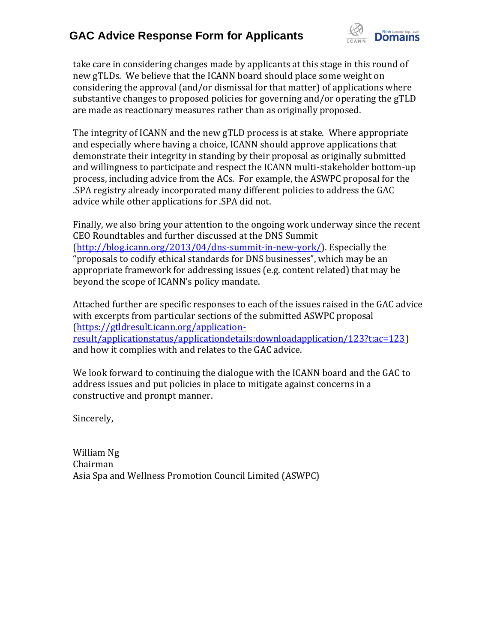

take care in considering changes made by applicants at this stage in this round of new gTLDs. We believe that the ICANN board should place some weight on considering the approval (and/or dismissal for that matter) of applications where substantive changes to proposed policies for governing and/or operating the gTLD are made as reactionary measures rather than as originally proposed.

The integrity of ICANN and the new gTLD process is at stake. Where appropriate and especially where having a choice, ICANN should approve applications that demonstrate their integrity in standing by their proposal as originally submitted and willingness to participate and respect the ICANN multi-stakeholder bottom-up process, including advice from the ACs. For example, the ASWPC proposal for the .SPA registry already incorporated many different policies to address the GAC advice while other applications for .SPA did not.

Finally, we also bring your attention to the ongoing work underway since the recent CEO Roundtables and further discussed at the DNS Summit [\(http://blog.icann.org/2013/04/dns-summit-in-new-york/\)](http://blog.icann.org/2013/04/dns-summit-in-new-york/). Especially the "proposals to codify ethical standards for DNS businesses", which may be an appropriate framework for addressing issues (e.g. content related) that may be beyond the scope of ICANN's policy mandate.

Attached further are specific responses to each of the issues raised in the GAC advice with excerpts from particular sections of the submitted ASWPC proposal [\(https://gtldresult.icann.org/application](https://gtldresult.icann.org/application-result/applicationstatus/applicationdetails:downloadapplication/123?t:ac=123)[result/applicationstatus/applicationdetails:downloadapplication/123?t:ac=123\)](https://gtldresult.icann.org/application-result/applicationstatus/applicationdetails:downloadapplication/123?t:ac=123) and how it complies with and relates to the GAC advice.

We look forward to continuing the dialogue with the ICANN board and the GAC to address issues and put policies in place to mitigate against concerns in a constructive and prompt manner.

Sincerely,

William Ng Chairman Asia Spa and Wellness Promotion Council Limited (ASWPC)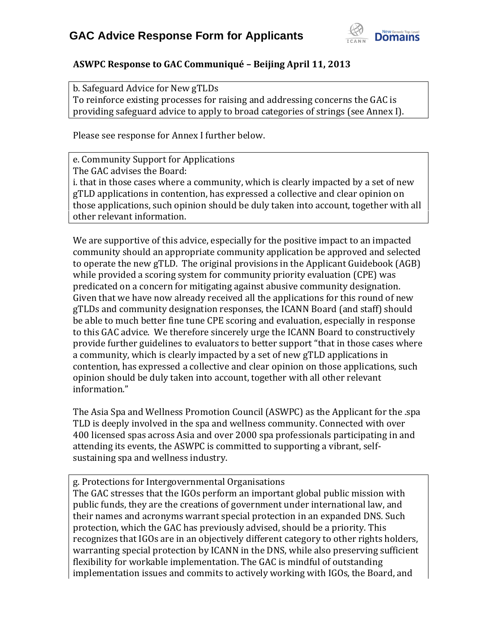

### **ASWPC Response to GAC Communiqué – Beijing April 11, 2013**

b. Safeguard Advice for New gTLDs To reinforce existing processes for raising and addressing concerns the GAC is providing safeguard advice to apply to broad categories of strings (see Annex I).

Please see response for Annex I further below.

e. Community Support for Applications The GAC advises the Board: i. that in those cases where a community, which is clearly impacted by a set of new gTLD applications in contention, has expressed a collective and clear opinion on those applications, such opinion should be duly taken into account, together with all other relevant information.

We are supportive of this advice, especially for the positive impact to an impacted community should an appropriate community application be approved and selected to operate the new gTLD. The original provisions in the Applicant Guidebook (AGB) while provided a scoring system for community priority evaluation (CPE) was predicated on a concern for mitigating against abusive community designation. Given that we have now already received all the applications for this round of new gTLDs and community designation responses, the ICANN Board (and staff) should be able to much better fine tune CPE scoring and evaluation, especially in response to this GAC advice. We therefore sincerely urge the ICANN Board to constructively provide further guidelines to evaluators to better support "that in those cases where a community, which is clearly impacted by a set of new gTLD applications in contention, has expressed a collective and clear opinion on those applications, such opinion should be duly taken into account, together with all other relevant information."

The Asia Spa and Wellness Promotion Council (ASWPC) as the Applicant for the .spa TLD is deeply involved in the spa and wellness community. Connected with over 400 licensed spas across Asia and over 2000 spa professionals participating in and attending its events, the ASWPC is committed to supporting a vibrant, selfsustaining spa and wellness industry.

g. Protections for Intergovernmental Organisations

The GAC stresses that the IGOs perform an important global public mission with public funds, they are the creations of government under international law, and their names and acronyms warrant special protection in an expanded DNS. Such protection, which the GAC has previously advised, should be a priority. This recognizes that IGOs are in an objectively different category to other rights holders, warranting special protection by ICANN in the DNS, while also preserving sufficient flexibility for workable implementation. The GAC is mindful of outstanding implementation issues and commits to actively working with IGOs, the Board, and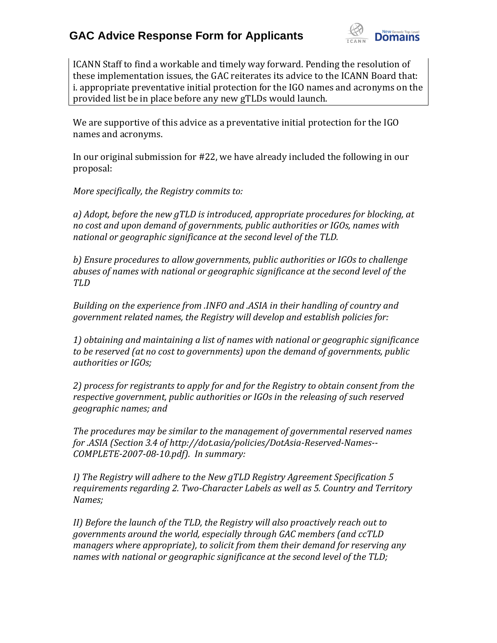

ICANN Staff to find a workable and timely way forward. Pending the resolution of these implementation issues, the GAC reiterates its advice to the ICANN Board that: i. appropriate preventative initial protection for the IGO names and acronyms on the provided list be in place before any new gTLDs would launch.

We are supportive of this advice as a preventative initial protection for the IGO names and acronyms.

In our original submission for #22, we have already included the following in our proposal:

*More specifically, the Registry commits to:*

*a) Adopt, before the new gTLD is introduced, appropriate procedures for blocking, at no cost and upon demand of governments, public authorities or IGOs, names with national or geographic significance at the second level of the TLD.*

*b) Ensure procedures to allow governments, public authorities or IGOs to challenge abuses of names with national or geographic significance at the second level of the TLD* 

*Building on the experience from .INFO and .ASIA in their handling of country and government related names, the Registry will develop and establish policies for:*

*1) obtaining and maintaining a list of names with national or geographic significance to be reserved (at no cost to governments) upon the demand of governments, public authorities or IGOs;* 

*2) process for registrants to apply for and for the Registry to obtain consent from the respective government, public authorities or IGOs in the releasing of such reserved geographic names; and*

*The procedures may be similar to the management of governmental reserved names for .ASIA (Section 3.4 of http://dot.asia/policies/DotAsia-Reserved-Names-- COMPLETE-2007-08-10.pdf). In summary:*

*I) The Registry will adhere to the New gTLD Registry Agreement Specification 5 requirements regarding 2. Two-Character Labels as well as 5. Country and Territory Names;*

*II) Before the launch of the TLD, the Registry will also proactively reach out to governments around the world, especially through GAC members (and ccTLD managers where appropriate), to solicit from them their demand for reserving any names with national or geographic significance at the second level of the TLD;*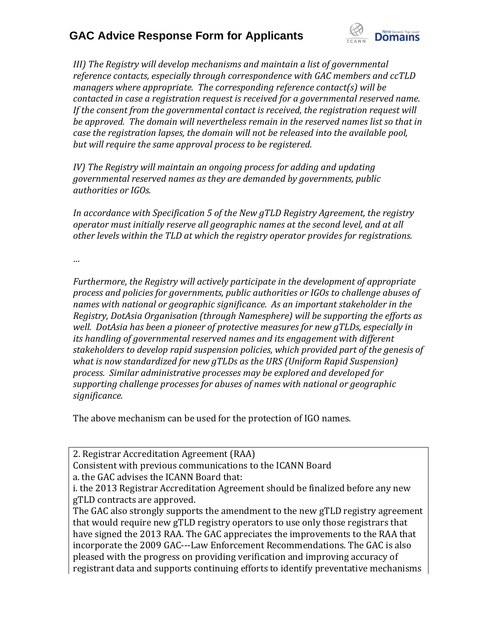

*III)* The Registry will develop mechanisms and maintain a list of governmental *reference contacts, especially through correspondence with GAC members and ccTLD managers where appropriate. The corresponding reference contact(s) will be contacted in case a registration request is received for a governmental reserved name. If the consent from the governmental contact is received, the registration request will be approved. The domain will nevertheless remain in the reserved names list so that in case the registration lapses, the domain will not be released into the available pool, but will require the same approval process to be registered.*

*IV*) The Registry will maintain an ongoing process for adding and updating *governmental reserved names as they are demanded by governments, public authorities or IGOs.*

*In accordance with Specification 5 of the New gTLD Registry Agreement, the registry operator must initially reserve all geographic names at the second level, and at all other levels within the TLD at which the registry operator provides for registrations.*

*…*

*Furthermore, the Registry will actively participate in the development of appropriate process and policies for governments, public authorities or IGOs to challenge abuses of names with national or geographic significance. As an important stakeholder in the Registry, DotAsia Organisation (through Namesphere) will be supporting the efforts as well. DotAsia has been a pioneer of protective measures for new gTLDs, especially in its handling of governmental reserved names and its engagement with different stakeholders to develop rapid suspension policies, which provided part of the genesis of what is now standardized for new gTLDs as the URS (Uniform Rapid Suspension) process. Similar administrative processes may be explored and developed for supporting challenge processes for abuses of names with national or geographic significance.*

The above mechanism can be used for the protection of IGO names.

2. Registrar Accreditation Agreement (RAA)

Consistent with previous communications to the ICANN Board

a. the GAC advises the ICANN Board that:

The GAC also strongly supports the amendment to the new gTLD registry agreement that would require new gTLD registry operators to use only those registrars that have signed the 2013 RAA. The GAC appreciates the improvements to the RAA that incorporate the 2009 GAC---Law Enforcement Recommendations. The GAC is also pleased with the progress on providing verification and improving accuracy of registrant data and supports continuing efforts to identify preventative mechanisms

i. the 2013 Registrar Accreditation Agreement should be finalized before any new gTLD contracts are approved.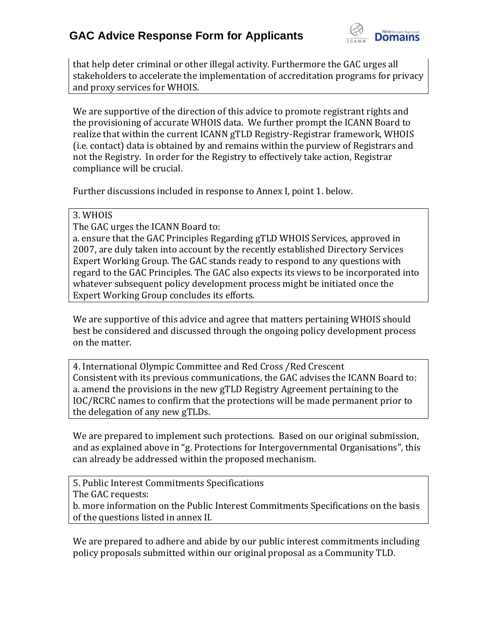

that help deter criminal or other illegal activity. Furthermore the GAC urges all stakeholders to accelerate the implementation of accreditation programs for privacy and proxy services for WHOIS.

We are supportive of the direction of this advice to promote registrant rights and the provisioning of accurate WHOIS data. We further prompt the ICANN Board to realize that within the current ICANN gTLD Registry-Registrar framework, WHOIS (i.e. contact) data is obtained by and remains within the purview of Registrars and not the Registry. In order for the Registry to effectively take action, Registrar compliance will be crucial.

Further discussions included in response to Annex I, point 1. below.

### 3. WHOIS

The GAC urges the ICANN Board to:

a. ensure that the GAC Principles Regarding gTLD WHOIS Services, approved in 2007, are duly taken into account by the recently established Directory Services Expert Working Group. The GAC stands ready to respond to any questions with regard to the GAC Principles. The GAC also expects its views to be incorporated into whatever subsequent policy development process might be initiated once the Expert Working Group concludes its efforts.

We are supportive of this advice and agree that matters pertaining WHOIS should best be considered and discussed through the ongoing policy development process on the matter.

4. International Olympic Committee and Red Cross /Red Crescent Consistent with its previous communications, the GAC advises the ICANN Board to: a. amend the provisions in the new gTLD Registry Agreement pertaining to the IOC/RCRC names to confirm that the protections will be made permanent prior to the delegation of any new gTLDs.

We are prepared to implement such protections. Based on our original submission, and as explained above in "g. Protections for Intergovernmental Organisations", this can already be addressed within the proposed mechanism.

5. Public Interest Commitments Specifications The GAC requests: b. more information on the Public Interest Commitments Specifications on the basis of the questions listed in annex II.

We are prepared to adhere and abide by our public interest commitments including policy proposals submitted within our original proposal as a Community TLD.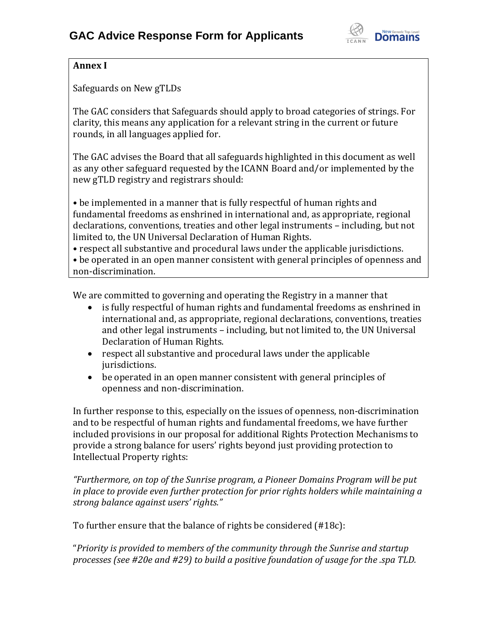

### **Annex I**

Safeguards on New gTLDs

The GAC considers that Safeguards should apply to broad categories of strings. For clarity, this means any application for a relevant string in the current or future rounds, in all languages applied for.

The GAC advises the Board that all safeguards highlighted in this document as well as any other safeguard requested by the ICANN Board and/or implemented by the new gTLD registry and registrars should:

• be implemented in a manner that is fully respectful of human rights and fundamental freedoms as enshrined in international and, as appropriate, regional declarations, conventions, treaties and other legal instruments – including, but not limited to, the UN Universal Declaration of Human Rights.

• respect all substantive and procedural laws under the applicable jurisdictions. • be operated in an open manner consistent with general principles of openness and non-discrimination.

We are committed to governing and operating the Registry in a manner that

- is fully respectful of human rights and fundamental freedoms as enshrined in international and, as appropriate, regional declarations, conventions, treaties and other legal instruments – including, but not limited to, the UN Universal Declaration of Human Rights.
- respect all substantive and procedural laws under the applicable jurisdictions.
- be operated in an open manner consistent with general principles of openness and non-discrimination.

In further response to this, especially on the issues of openness, non-discrimination and to be respectful of human rights and fundamental freedoms, we have further included provisions in our proposal for additional Rights Protection Mechanisms to provide a strong balance for users' rights beyond just providing protection to Intellectual Property rights:

*"Furthermore, on top of the Sunrise program, a Pioneer Domains Program will be put in place to provide even further protection for prior rights holders while maintaining a strong balance against users' rights."*

To further ensure that the balance of rights be considered (#18c):

"*Priority is provided to members of the community through the Sunrise and startup processes (see #20e and #29) to build a positive foundation of usage for the .spa TLD.*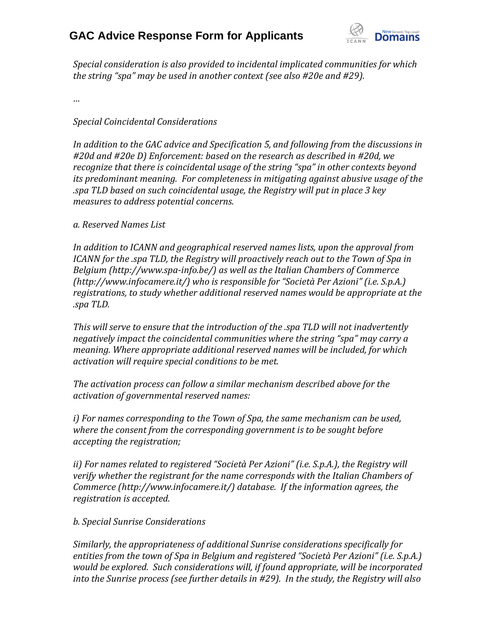

*Special consideration is also provided to incidental implicated communities for which the string "spa" may be used in another context (see also #20e and #29).*

*…*

### *Special Coincidental Considerations*

*In addition to the GAC advice and Specification 5, and following from the discussions in #20d and #20e D) Enforcement: based on the research as described in #20d, we recognize that there is coincidental usage of the string "spa" in other contexts beyond its predominant meaning. For completeness in mitigating against abusive usage of the .spa TLD based on such coincidental usage, the Registry will put in place 3 key measures to address potential concerns.*

#### *a. Reserved Names List*

*In addition to ICANN and geographical reserved names lists, upon the approval from ICANN for the .spa TLD, the Registry will proactively reach out to the Town of Spa in Belgium (http://www.spa-info.be/) as well as the Italian Chambers of Commerce (http://www.infocamere.it/) who is responsible for "Società Per Azioni" (i.e. S.p.A.) registrations, to study whether additional reserved names would be appropriate at the .spa TLD.*

*This will serve to ensure that the introduction of the .spa TLD will not inadvertently negatively impact the coincidental communities where the string "spa" may carry a meaning. Where appropriate additional reserved names will be included, for which activation will require special conditions to be met.*

*The activation process can follow a similar mechanism described above for the activation of governmental reserved names:*

*i) For names corresponding to the Town of Spa, the same mechanism can be used, where the consent from the corresponding government is to be sought before accepting the registration;*

*ii) For names related to registered "Società Per Azioni" (i.e. S.p.A.), the Registry will verify whether the registrant for the name corresponds with the Italian Chambers of Commerce (http://www.infocamere.it/) database. If the information agrees, the registration is accepted.*

*b. Special Sunrise Considerations*

*Similarly, the appropriateness of additional Sunrise considerations specifically for entities from the town of Spa in Belgium and registered "Società Per Azioni" (i.e. S.p.A.) would be explored. Such considerations will, if found appropriate, will be incorporated into the Sunrise process (see further details in #29). In the study, the Registry will also*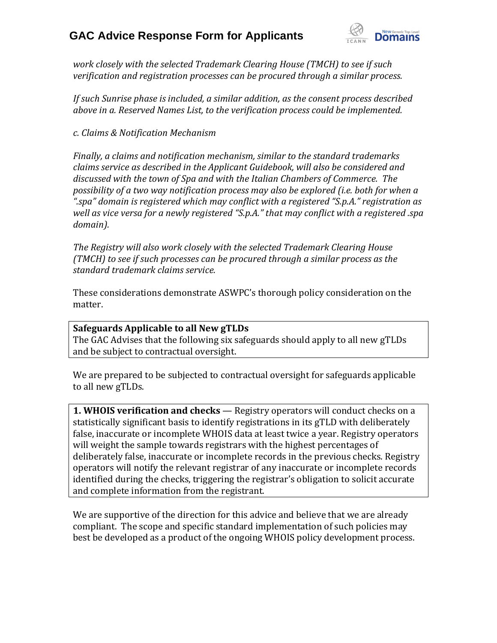

*work closely with the selected Trademark Clearing House (TMCH) to see if such verification and registration processes can be procured through a similar process.*

*If such Sunrise phase is included, a similar addition, as the consent process described above in a. Reserved Names List, to the verification process could be implemented.*

*c. Claims & Notification Mechanism*

*Finally, a claims and notification mechanism, similar to the standard trademarks claims service as described in the Applicant Guidebook, will also be considered and discussed with the town of Spa and with the Italian Chambers of Commerce. The possibility of a two way notification process may also be explored (i.e. both for when a ".spa" domain is registered which may conflict with a registered "S.p.A." registration as*  well as vice versa for a newly registered "S.p.A." that may conflict with a registered .spa *domain).*

*The Registry will also work closely with the selected Trademark Clearing House (TMCH) to see if such processes can be procured through a similar process as the standard trademark claims service.*

These considerations demonstrate ASWPC's thorough policy consideration on the matter.

### **Safeguards Applicable to all New gTLDs**

The GAC Advises that the following six safeguards should apply to all new gTLDs and be subject to contractual oversight.

We are prepared to be subjected to contractual oversight for safeguards applicable to all new gTLDs.

**1. WHOIS verification and checks** — Registry operators will conduct checks on a statistically significant basis to identify registrations in its gTLD with deliberately false, inaccurate or incomplete WHOIS data at least twice a year. Registry operators will weight the sample towards registrars with the highest percentages of deliberately false, inaccurate or incomplete records in the previous checks. Registry operators will notify the relevant registrar of any inaccurate or incomplete records identified during the checks, triggering the registrar's obligation to solicit accurate and complete information from the registrant.

We are supportive of the direction for this advice and believe that we are already compliant. The scope and specific standard implementation of such policies may best be developed as a product of the ongoing WHOIS policy development process.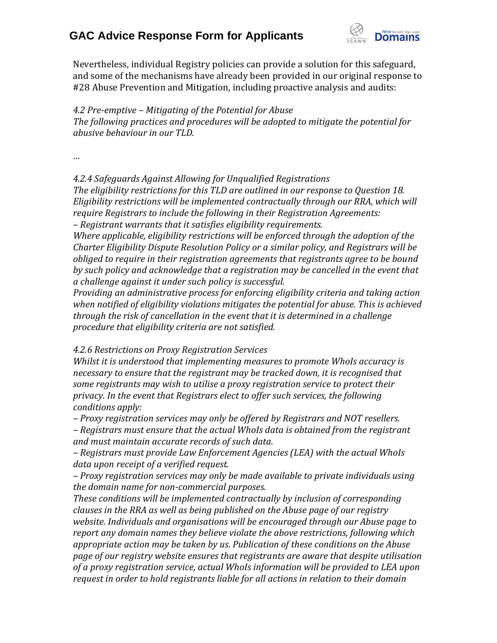

Nevertheless, individual Registry policies can provide a solution for this safeguard, and some of the mechanisms have already been provided in our original response to #28 Abuse Prevention and Mitigation, including proactive analysis and audits:

*4.2 Pre-emptive – Mitigating of the Potential for Abuse The following practices and procedures will be adopted to mitigate the potential for abusive behaviour in our TLD.*

*…*

*4.2.4 Safeguards Against Allowing for Unqualified Registrations*

*The eligibility restrictions for this TLD are outlined in our response to Question 18. Eligibility restrictions will be implemented contractually through our RRA, which will require Registrars to include the following in their Registration Agreements: – Registrant warrants that it satisfies eligibility requirements.*

*Where applicable, eligibility restrictions will be enforced through the adoption of the Charter Eligibility Dispute Resolution Policy or a similar policy, and Registrars will be obliged to require in their registration agreements that registrants agree to be bound by such policy and acknowledge that a registration may be cancelled in the event that a challenge against it under such policy is successful.*

*Providing an administrative process for enforcing eligibility criteria and taking action when notified of eligibility violations mitigates the potential for abuse. This is achieved through the risk of cancellation in the event that it is determined in a challenge procedure that eligibility criteria are not satisfied.*

*4.2.6 Restrictions on Proxy Registration Services*

*Whilst it is understood that implementing measures to promote WhoIs accuracy is necessary to ensure that the registrant may be tracked down, it is recognised that some registrants may wish to utilise a proxy registration service to protect their privacy. In the event that Registrars elect to offer such services, the following conditions apply:*

*– Proxy registration services may only be offered by Registrars and NOT resellers. – Registrars must ensure that the actual WhoIs data is obtained from the registrant and must maintain accurate records of such data.*

*– Registrars must provide Law Enforcement Agencies (LEA) with the actual WhoIs data upon receipt of a verified request.*

*– Proxy registration services may only be made available to private individuals using the domain name for non-commercial purposes.*

*These conditions will be implemented contractually by inclusion of corresponding clauses in the RRA as well as being published on the Abuse page of our registry website. Individuals and organisations will be encouraged through our Abuse page to report any domain names they believe violate the above restrictions, following which appropriate action may be taken by us. Publication of these conditions on the Abuse page of our registry website ensures that registrants are aware that despite utilisation of a proxy registration service, actual WhoIs information will be provided to LEA upon request in order to hold registrants liable for all actions in relation to their domain*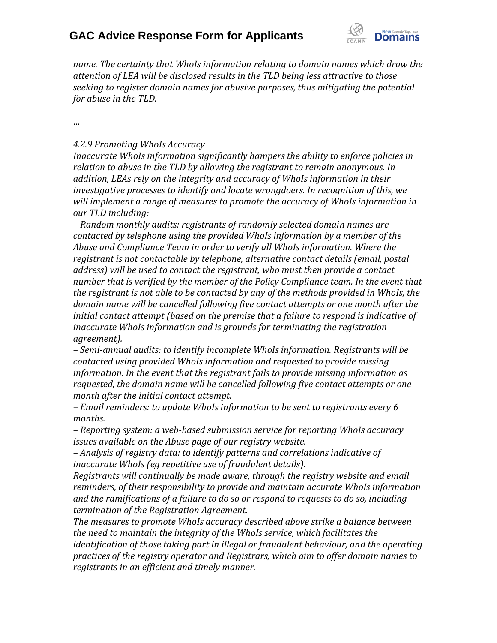

*name. The certainty that WhoIs information relating to domain names which draw the attention of LEA will be disclosed results in the TLD being less attractive to those seeking to register domain names for abusive purposes, thus mitigating the potential for abuse in the TLD.*

*…*

### *4.2.9 Promoting WhoIs Accuracy*

*Inaccurate WhoIs information significantly hampers the ability to enforce policies in relation to abuse in the TLD by allowing the registrant to remain anonymous. In addition, LEAs rely on the integrity and accuracy of WhoIs information in their investigative processes to identify and locate wrongdoers. In recognition of this, we will implement a range of measures to promote the accuracy of WhoIs information in our TLD including:*

*– Random monthly audits: registrants of randomly selected domain names are contacted by telephone using the provided WhoIs information by a member of the Abuse and Compliance Team in order to verify all WhoIs information. Where the registrant is not contactable by telephone, alternative contact details (email, postal address) will be used to contact the registrant, who must then provide a contact number that is verified by the member of the Policy Compliance team. In the event that the registrant is not able to be contacted by any of the methods provided in WhoIs, the domain name will be cancelled following five contact attempts or one month after the initial contact attempt (based on the premise that a failure to respond is indicative of inaccurate WhoIs information and is grounds for terminating the registration agreement).*

*– Semi-annual audits: to identify incomplete WhoIs information. Registrants will be contacted using provided WhoIs information and requested to provide missing information. In the event that the registrant fails to provide missing information as requested, the domain name will be cancelled following five contact attempts or one month after the initial contact attempt.*

*– Email reminders: to update WhoIs information to be sent to registrants every 6 months.*

*– Reporting system: a web-based submission service for reporting WhoIs accuracy issues available on the Abuse page of our registry website.*

*– Analysis of registry data: to identify patterns and correlations indicative of inaccurate WhoIs (eg repetitive use of fraudulent details).*

*Registrants will continually be made aware, through the registry website and email reminders, of their responsibility to provide and maintain accurate WhoIs information and the ramifications of a failure to do so or respond to requests to do so, including termination of the Registration Agreement.*

*The measures to promote WhoIs accuracy described above strike a balance between the need to maintain the integrity of the WhoIs service, which facilitates the identification of those taking part in illegal or fraudulent behaviour, and the operating practices of the registry operator and Registrars, which aim to offer domain names to registrants in an efficient and timely manner.*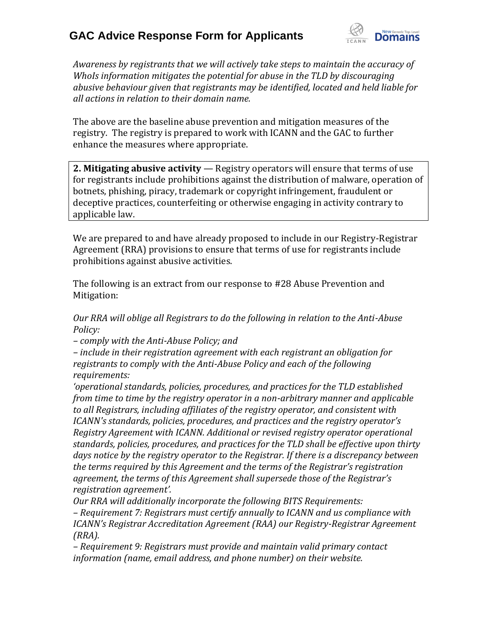

*Awareness by registrants that we will actively take steps to maintain the accuracy of WhoIs information mitigates the potential for abuse in the TLD by discouraging abusive behaviour given that registrants may be identified, located and held liable for all actions in relation to their domain name.*

The above are the baseline abuse prevention and mitigation measures of the registry. The registry is prepared to work with ICANN and the GAC to further enhance the measures where appropriate.

**2. Mitigating abusive activity** — Registry operators will ensure that terms of use for registrants include prohibitions against the distribution of malware, operation of botnets, phishing, piracy, trademark or copyright infringement, fraudulent or deceptive practices, counterfeiting or otherwise engaging in activity contrary to applicable law.

We are prepared to and have already proposed to include in our Registry-Registrar Agreement (RRA) provisions to ensure that terms of use for registrants include prohibitions against abusive activities.

The following is an extract from our response to #28 Abuse Prevention and Mitigation:

*Our RRA will oblige all Registrars to do the following in relation to the Anti-Abuse Policy:*

*– comply with the Anti-Abuse Policy; and*

*– include in their registration agreement with each registrant an obligation for registrants to comply with the Anti-Abuse Policy and each of the following requirements:*

*'operational standards, policies, procedures, and practices for the TLD established from time to time by the registry operator in a non-arbitrary manner and applicable to all Registrars, including affiliates of the registry operator, and consistent with ICANN's standards, policies, procedures, and practices and the registry operator's Registry Agreement with ICANN. Additional or revised registry operator operational standards, policies, procedures, and practices for the TLD shall be effective upon thirty*  days notice by the registry operator to the Registrar. If there is a discrepancy between *the terms required by this Agreement and the terms of the Registrar's registration agreement, the terms of this Agreement shall supersede those of the Registrar's registration agreement'.*

*Our RRA will additionally incorporate the following BITS Requirements:*

*– Requirement 7: Registrars must certify annually to ICANN and us compliance with ICANN's Registrar Accreditation Agreement (RAA) our Registry-Registrar Agreement (RRA).*

*– Requirement 9: Registrars must provide and maintain valid primary contact information (name, email address, and phone number) on their website.*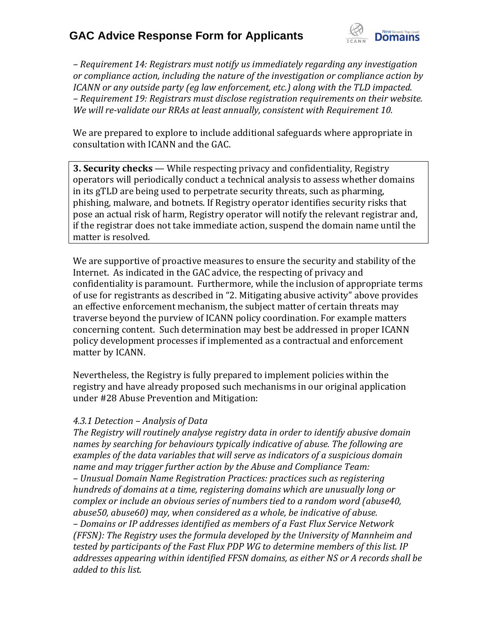

*– Requirement 14: Registrars must notify us immediately regarding any investigation or compliance action, including the nature of the investigation or compliance action by ICANN or any outside party (eg law enforcement, etc.) along with the TLD impacted. – Requirement 19: Registrars must disclose registration requirements on their website. We will re-validate our RRAs at least annually, consistent with Requirement 10.*

We are prepared to explore to include additional safeguards where appropriate in consultation with ICANN and the GAC.

**3. Security checks** — While respecting privacy and confidentiality, Registry operators will periodically conduct a technical analysis to assess whether domains in its gTLD are being used to perpetrate security threats, such as pharming, phishing, malware, and botnets. If Registry operator identifies security risks that pose an actual risk of harm, Registry operator will notify the relevant registrar and, if the registrar does not take immediate action, suspend the domain name until the matter is resolved.

We are supportive of proactive measures to ensure the security and stability of the Internet. As indicated in the GAC advice, the respecting of privacy and confidentiality is paramount. Furthermore, while the inclusion of appropriate terms of use for registrants as described in "2. Mitigating abusive activity" above provides an effective enforcement mechanism, the subject matter of certain threats may traverse beyond the purview of ICANN policy coordination. For example matters concerning content. Such determination may best be addressed in proper ICANN policy development processes if implemented as a contractual and enforcement matter by ICANN.

Nevertheless, the Registry is fully prepared to implement policies within the registry and have already proposed such mechanisms in our original application under #28 Abuse Prevention and Mitigation:

#### *4.3.1 Detection – Analysis of Data*

*The Registry will routinely analyse registry data in order to identify abusive domain names by searching for behaviours typically indicative of abuse. The following are examples of the data variables that will serve as indicators of a suspicious domain name and may trigger further action by the Abuse and Compliance Team: – Unusual Domain Name Registration Practices: practices such as registering hundreds of domains at a time, registering domains which are unusually long or complex or include an obvious series of numbers tied to a random word (abuse40, abuse50, abuse60) may, when considered as a whole, be indicative of abuse. – Domains or IP addresses identified as members of a Fast Flux Service Network (FFSN): The Registry uses the formula developed by the University of Mannheim and tested by participants of the Fast Flux PDP WG to determine members of this list. IP addresses appearing within identified FFSN domains, as either NS or A records shall be added to this list.*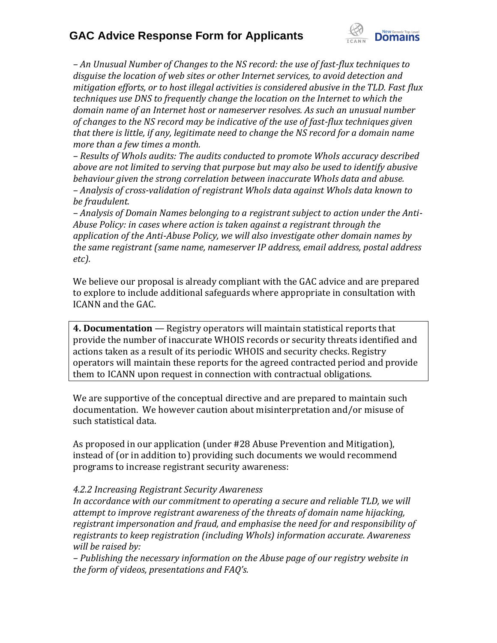

*– An Unusual Number of Changes to the NS record: the use of fast-flux techniques to disguise the location of web sites or other Internet services, to avoid detection and mitigation efforts, or to host illegal activities is considered abusive in the TLD. Fast flux techniques use DNS to frequently change the location on the Internet to which the domain name of an Internet host or nameserver resolves. As such an unusual number of changes to the NS record may be indicative of the use of fast-flux techniques given that there is little, if any, legitimate need to change the NS record for a domain name more than a few times a month.*

*– Results of WhoIs audits: The audits conducted to promote WhoIs accuracy described above are not limited to serving that purpose but may also be used to identify abusive behaviour given the strong correlation between inaccurate WhoIs data and abuse. – Analysis of cross-validation of registrant WhoIs data against WhoIs data known to be fraudulent.*

*– Analysis of Domain Names belonging to a registrant subject to action under the Anti-Abuse Policy: in cases where action is taken against a registrant through the application of the Anti-Abuse Policy, we will also investigate other domain names by the same registrant (same name, nameserver IP address, email address, postal address etc).*

We believe our proposal is already compliant with the GAC advice and are prepared to explore to include additional safeguards where appropriate in consultation with ICANN and the GAC.

**4. Documentation** — Registry operators will maintain statistical reports that provide the number of inaccurate WHOIS records or security threats identified and actions taken as a result of its periodic WHOIS and security checks. Registry operators will maintain these reports for the agreed contracted period and provide them to ICANN upon request in connection with contractual obligations.

We are supportive of the conceptual directive and are prepared to maintain such documentation. We however caution about misinterpretation and/or misuse of such statistical data.

As proposed in our application (under #28 Abuse Prevention and Mitigation), instead of (or in addition to) providing such documents we would recommend programs to increase registrant security awareness:

#### *4.2.2 Increasing Registrant Security Awareness*

In accordance with our commitment to operating a secure and reliable TLD, we will *attempt to improve registrant awareness of the threats of domain name hijacking, registrant impersonation and fraud, and emphasise the need for and responsibility of registrants to keep registration (including WhoIs) information accurate. Awareness will be raised by:*

*– Publishing the necessary information on the Abuse page of our registry website in the form of videos, presentations and FAQ's.*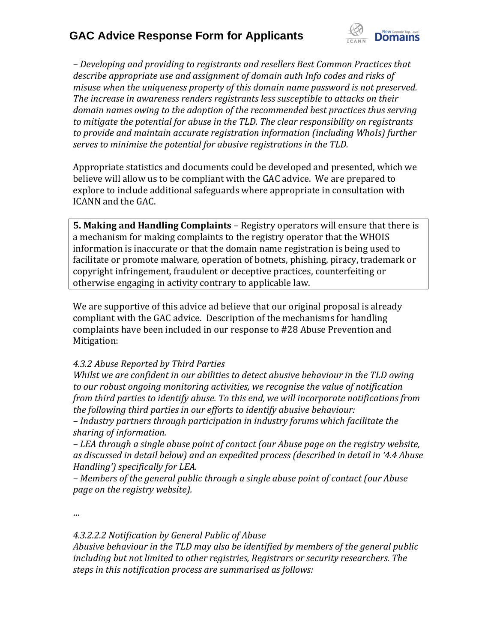

*– Developing and providing to registrants and resellers Best Common Practices that describe appropriate use and assignment of domain auth Info codes and risks of misuse when the uniqueness property of this domain name password is not preserved. The increase in awareness renders registrants less susceptible to attacks on their domain names owing to the adoption of the recommended best practices thus serving to mitigate the potential for abuse in the TLD. The clear responsibility on registrants to provide and maintain accurate registration information (including WhoIs) further serves to minimise the potential for abusive registrations in the TLD.*

Appropriate statistics and documents could be developed and presented, which we believe will allow us to be compliant with the GAC advice. We are prepared to explore to include additional safeguards where appropriate in consultation with ICANN and the GAC.

**5. Making and Handling Complaints** – Registry operators will ensure that there is a mechanism for making complaints to the registry operator that the WHOIS information is inaccurate or that the domain name registration is being used to facilitate or promote malware, operation of botnets, phishing, piracy, trademark or copyright infringement, fraudulent or deceptive practices, counterfeiting or otherwise engaging in activity contrary to applicable law.

We are supportive of this advice ad believe that our original proposal is already compliant with the GAC advice. Description of the mechanisms for handling complaints have been included in our response to #28 Abuse Prevention and Mitigation:

### *4.3.2 Abuse Reported by Third Parties*

*Whilst we are confident in our abilities to detect abusive behaviour in the TLD owing to our robust ongoing monitoring activities, we recognise the value of notification from third parties to identify abuse. To this end, we will incorporate notifications from the following third parties in our efforts to identify abusive behaviour:*

*– Industry partners through participation in industry forums which facilitate the sharing of information.*

*– LEA through a single abuse point of contact (our Abuse page on the registry website, as discussed in detail below) and an expedited process (described in detail in '4.4 Abuse Handling') specifically for LEA.*

*– Members of the general public through a single abuse point of contact (our Abuse page on the registry website).*

*…*

*4.3.2.2.2 Notification by General Public of Abuse*

*Abusive behaviour in the TLD may also be identified by members of the general public including but not limited to other registries, Registrars or security researchers. The steps in this notification process are summarised as follows:*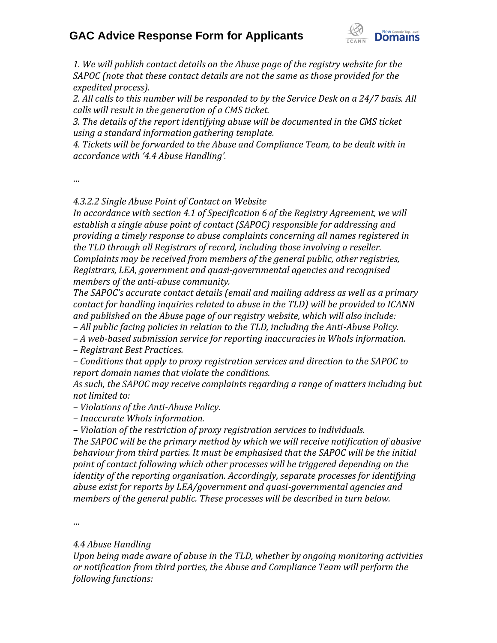

*1. We will publish contact details on the Abuse page of the registry website for the SAPOC (note that these contact details are not the same as those provided for the expedited process).*

*2. All calls to this number will be responded to by the Service Desk on a 24/7 basis. All calls will result in the generation of a CMS ticket.* 

*3. The details of the report identifying abuse will be documented in the CMS ticket using a standard information gathering template.* 

*4. Tic ets will be forwarded to the Abuse and Compliance Team, to be dealt with in accordance with '4.4 Abuse Handling'.*

*…*

*4.3.2.2 Single Abuse Point of Contact on Website*

*In accordance with section 4.1 of Specification 6 of the Registry Agreement, we will establish a single abuse point of contact (SAPOC) responsible for addressing and providing a timely response to abuse complaints concerning all names registered in the TLD through all Registrars of record, including those involving a reseller. Complaints may be received from members of the general public, other registries, Registrars, LEA, government and quasi-governmental agencies and recognised members of the anti-abuse community.*

*The SAPOC's accurate contact details (email and mailing address as well as a primary contact for handling inquiries related to abuse in the TLD) will be provided to ICANN and published on the Abuse page of our registry website, which will also include:*

*– All public facing policies in relation to the TLD, including the Anti-Abuse Policy.*

*– A web-based submission service for reporting inaccuracies in WhoIs information.*

*– Registrant Best Practices.*

*– Conditions that apply to proxy registration services and direction to the SAPOC to report domain names that violate the conditions.*

*As such, the SAPOC may receive complaints regarding a range of matters including but not limited to:*

*– Violations of the Anti-Abuse Policy.*

*– Inaccurate WhoIs information.*

*– Violation of the restriction of proxy registration services to individuals.*

*The SAPOC will be the primary method by which we will receive notification of abusive behaviour from third parties. It must be emphasised that the SAPOC will be the initial point of contact following which other processes will be triggered depending on the identity of the reporting organisation. Accordingly, separate processes for identifying abuse exist for reports by LEA/government and quasi-governmental agencies and members of the general public. These processes will be described in turn below.*

*…*

### *4.4 Abuse Handling*

*Upon being made aware of abuse in the TLD, whether by ongoing monitoring activities or notification from third parties, the Abuse and Compliance Team will perform the following functions:*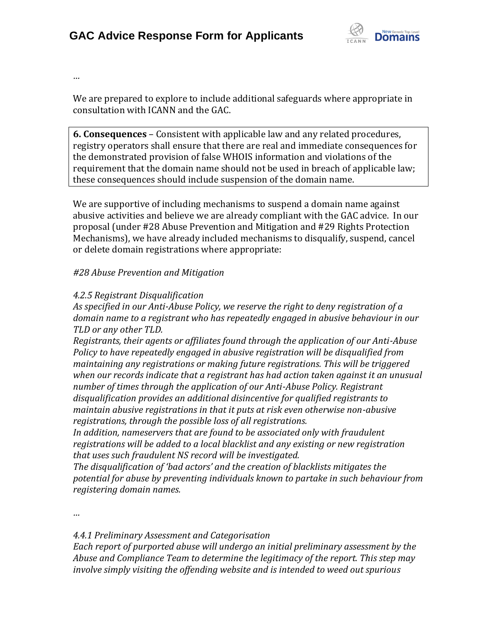

*…*

We are prepared to explore to include additional safeguards where appropriate in consultation with ICANN and the GAC.

**6. Consequences** – Consistent with applicable law and any related procedures, registry operators shall ensure that there are real and immediate consequences for the demonstrated provision of false WHOIS information and violations of the requirement that the domain name should not be used in breach of applicable law; these consequences should include suspension of the domain name.

We are supportive of including mechanisms to suspend a domain name against abusive activities and believe we are already compliant with the GAC advice. In our proposal (under #28 Abuse Prevention and Mitigation and #29 Rights Protection Mechanisms), we have already included mechanisms to disqualify, suspend, cancel or delete domain registrations where appropriate:

### *#28 Abuse Prevention and Mitigation*

### *4.2.5 Registrant Disqualification*

*As specified in our Anti-Abuse Policy, we reserve the right to deny registration of a domain name to a registrant who has repeatedly engaged in abusive behaviour in our TLD or any other TLD.*

*Registrants, their agents or affiliates found through the application of our Anti-Abuse Policy to have repeatedly engaged in abusive registration will be disqualified from maintaining any registrations or making future registrations. This will be triggered when our records indicate that a registrant has had action taken against it an unusual number of times through the application of our Anti-Abuse Policy. Registrant disqualification provides an additional disincentive for qualified registrants to maintain abusive registrations in that it puts at risk even otherwise non-abusive registrations, through the possible loss of all registrations.*

*In addition, nameservers that are found to be associated only with fraudulent registrations will be added to a local blacklist and any existing or new registration that uses such fraudulent NS record will be investigated.*

*The disqualification of 'bad actors' and the creation of blacklists mitigates the potential for abuse by preventing individuals known to partake in such behaviour from registering domain names.*

*…*

*4.4.1 Preliminary Assessment and Categorisation*

*Each report of purported abuse will undergo an initial preliminary assessment by the Abuse and Compliance Team to determine the legitimacy of the report. This step may involve simply visiting the offending website and is intended to weed out spurious*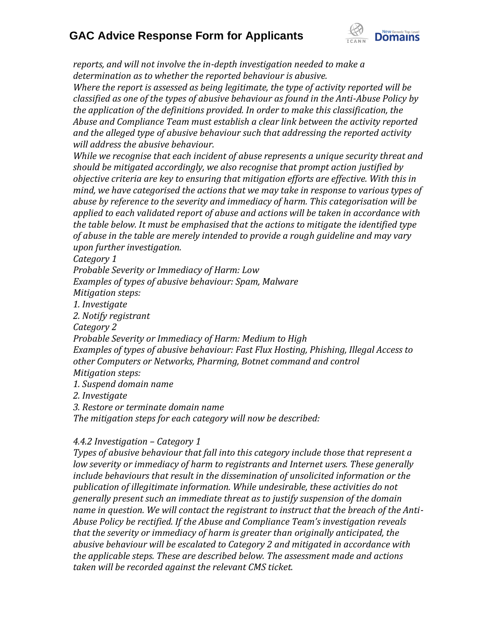

*reports, and will not involve the in-depth investigation needed to make a determination as to whether the reported behaviour is abusive.*

*Where the report is assessed as being legitimate, the type of activity reported will be classified as one of the types of abusive behaviour as found in the Anti-Abuse Policy by the application of the definitions provided. In order to make this classification, the Abuse and Compliance Team must establish a clear link between the activity reported and the alleged type of abusive behaviour such that addressing the reported activity will address the abusive behaviour.*

*While we recognise that each incident of abuse represents a unique security threat and should be mitigated accordingly, we also recognise that prompt action justified by objective criteria are key to ensuring that mitigation efforts are effective. With this in mind, we have categorised the actions that we may take in response to various types of abuse by reference to the severity and immediacy of harm. This categorisation will be applied to each validated report of abuse and actions will be taken in accordance with the table below. It must be emphasised that the actions to mitigate the identified type of abuse in the table are merely intended to provide a rough guideline and may vary upon further investigation.*

*Category 1*

*Probable Severity or Immediacy of Harm: Low*

*Examples of types of abusive behaviour: Spam, Malware*

*Mitigation steps:*

*1. Investigate*

*2. Notify registrant*

*Category 2*

*Probable Severity or Immediacy of Harm: Medium to High*

*Examples of types of abusive behaviour: Fast Flux Hosting, Phishing, Illegal Access to other Computers or Networks, Pharming, Botnet command and control*

- *Mitigation steps:*
- *1. Suspend domain name*
- *2. Investigate*

*3. Restore or terminate domain name*

*The mitigation steps for each category will now be described:*

### *4.4.2 Investigation – Category 1*

*Types of abusive behaviour that fall into this category include those that represent a low severity or immediacy of harm to registrants and Internet users. These generally include behaviours that result in the dissemination of unsolicited information or the publication of illegitimate information. While undesirable, these activities do not generally present such an immediate threat as to justify suspension of the domain name in question. We will contact the registrant to instruct that the breach of the Anti-Abuse Policy be rectified. If the Abuse and Compliance Team's investigation reveals that the severity or immediacy of harm is greater than originally anticipated, the abusive behaviour will be escalated to Category 2 and mitigated in accordance with the applicable steps. These are described below. The assessment made and actions taken will be recorded against the relevant CMS ticket.*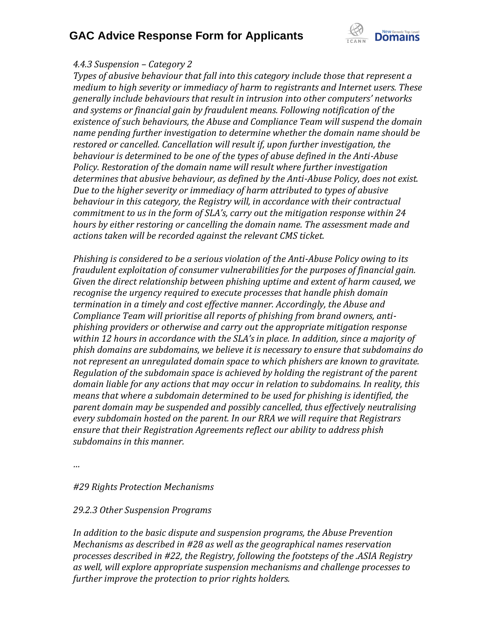

### *4.4.3 Suspension – Category 2*

*Types of abusive behaviour that fall into this category include those that represent a medium to high severity or immediacy of harm to registrants and Internet users. These generally include behaviours that result in intrusion into other computers' networks and systems or financial gain by fraudulent means. Following notification of the existence of such behaviours, the Abuse and Compliance Team will suspend the domain name pending further investigation to determine whether the domain name should be restored or cancelled. Cancellation will result if, upon further investigation, the behaviour is determined to be one of the types of abuse defined in the Anti-Abuse Policy. Restoration of the domain name will result where further investigation determines that abusive behaviour, as defined by the Anti-Abuse Policy, does not exist. Due to the higher severity or immediacy of harm attributed to types of abusive behaviour in this category, the Registry will, in accordance with their contractual commitment to us in the form of SLA's, carry out the mitigation response within 24 hours by either restoring or cancelling the domain name. The assessment made and actions taken will be recorded against the relevant CMS ticket.*

*Phishing is considered to be a serious violation of the Anti-Abuse Policy owing to its fraudulent exploitation of consumer vulnerabilities for the purposes of financial gain. Given the direct relationship between phishing uptime and extent of harm caused, we recognise the urgency required to execute processes that handle phish domain termination in a timely and cost effective manner. Accordingly, the Abuse and Compliance Team will prioritise all reports of phishing from brand owners, antiphishing providers or otherwise and carry out the appropriate mitigation response within 12 hours in accordance with the SLA's in place. In addition, since a majority of phish domains are subdomains, we believe it is necessary to ensure that subdomains do not represent an unregulated domain space to which phishers are known to gravitate. Regulation of the subdomain space is achieved by holding the registrant of the parent domain liable for any actions that may occur in relation to subdomains. In reality, this means that where a subdomain determined to be used for phishing is identified, the parent domain may be suspended and possibly cancelled, thus effectively neutralising every subdomain hosted on the parent. In our RRA we will require that Registrars ensure that their Registration Agreements reflect our ability to address phish subdomains in this manner.*

*…*

### *#29 Rights Protection Mechanisms*

### *29.2.3 Other Suspension Programs*

*In addition to the basic dispute and suspension programs, the Abuse Prevention Mechanisms as described in #28 as well as the geographical names reservation processes described in #22, the Registry, following the footsteps of the .ASIA Registry as well, will explore appropriate suspension mechanisms and challenge processes to further improve the protection to prior rights holders.*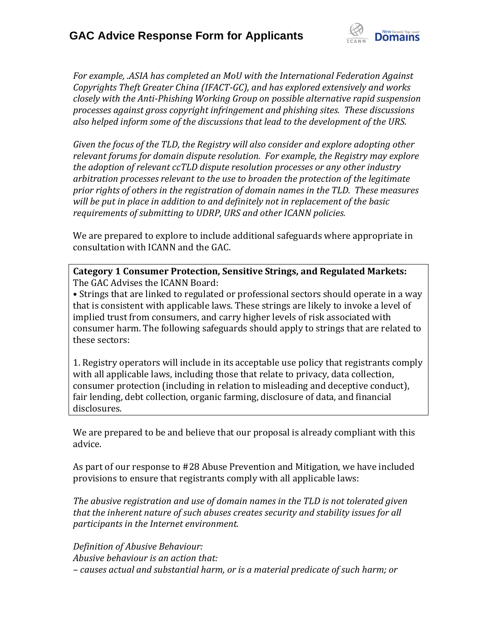

*For example, .ASIA has completed an MoU with the International Federation Against Copyrights Theft Greater China (IFACT-GC), and has explored extensively and works closely with the Anti-Phishing Working Group on possible alternative rapid suspension processes against gross copyright infringement and phishing sites. These discussions also helped inform some of the discussions that lead to the development of the URS.*

*Given the focus of the TLD, the Registry will also consider and explore adopting other relevant forums for domain dispute resolution. For example, the Registry may explore the adoption of relevant ccTLD dispute resolution processes or any other industry arbitration processes relevant to the use to broaden the protection of the legitimate prior rights of others in the registration of domain names in the TLD. These measures will be put in place in addition to and definitely not in replacement of the basic requirements of submitting to UDRP, URS and other ICANN policies.*

We are prepared to explore to include additional safeguards where appropriate in consultation with ICANN and the GAC.

**Category 1 Consumer Protection, Sensitive Strings, and Regulated Markets:** The GAC Advises the ICANN Board:

• Strings that are linked to regulated or professional sectors should operate in a way that is consistent with applicable laws. These strings are likely to invoke a level of implied trust from consumers, and carry higher levels of risk associated with consumer harm. The following safeguards should apply to strings that are related to these sectors:

1. Registry operators will include in its acceptable use policy that registrants comply with all applicable laws, including those that relate to privacy, data collection, consumer protection (including in relation to misleading and deceptive conduct), fair lending, debt collection, organic farming, disclosure of data, and financial disclosures.

We are prepared to be and believe that our proposal is already compliant with this advice.

As part of our response to #28 Abuse Prevention and Mitigation, we have included provisions to ensure that registrants comply with all applicable laws:

*The abusive registration and use of domain names in the TLD is not tolerated given that the inherent nature of such abuses creates security and stability issues for all participants in the Internet environment.*

*Definition of Abusive Behaviour: Abusive behaviour is an action that: – causes actual and substantial harm, or is a material predicate of such harm; or*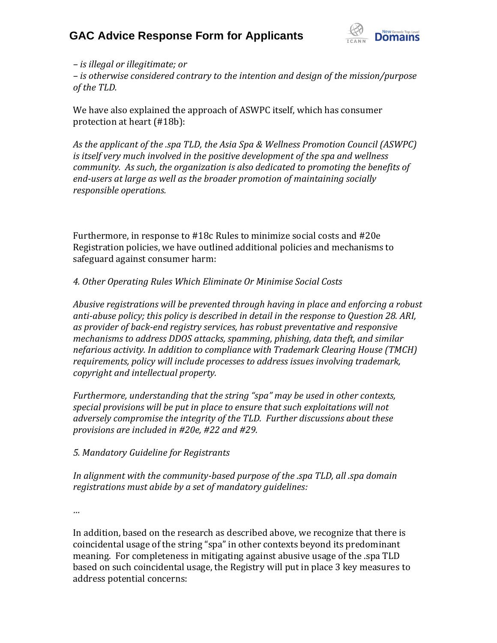

*– is illegal or illegitimate; or* 

*– is otherwise considered contrary to the intention and design of the mission/purpose of the TLD.*

We have also explained the approach of ASWPC itself, which has consumer protection at heart (#18b):

*As the applicant of the .spa TLD, the Asia Spa & Wellness Promotion Council (ASWPC) is itself very much involved in the positive development of the spa and wellness community. As such, the organization is also dedicated to promoting the benefits of end-users at large as well as the broader promotion of maintaining socially responsible operations.*

Furthermore, in response to #18c Rules to minimize social costs and #20e Registration policies, we have outlined additional policies and mechanisms to safeguard against consumer harm:

### *4. Other Operating Rules Which Eliminate Or Minimise Social Costs*

*Abusive registrations will be prevented through having in place and enforcing a robust anti-abuse policy; this policy is described in detail in the response to Question 28. ARI, as provider of back-end registry services, has robust preventative and responsive mechanisms to address DDOS attacks, spamming, phishing, data theft, and similar nefarious activity. In addition to compliance with Trademark Clearing House (TMCH) requirements, policy will include processes to address issues involving trademark, copyright and intellectual property.*

*Furthermore, understanding that the string "spa" may be used in other contexts, special provisions will be put in place to ensure that such exploitations will not adversely compromise the integrity of the TLD. Further discussions about these provisions are included in #20e, #22 and #29.*

### *5. Mandatory Guideline for Registrants*

*In alignment with the community-based purpose of the .spa TLD, all .spa domain registrations must abide by a set of mandatory guidelines:*

*…*

In addition, based on the research as described above, we recognize that there is coincidental usage of the string "spa" in other contexts beyond its predominant meaning. For completeness in mitigating against abusive usage of the .spa TLD based on such coincidental usage, the Registry will put in place 3 key measures to address potential concerns: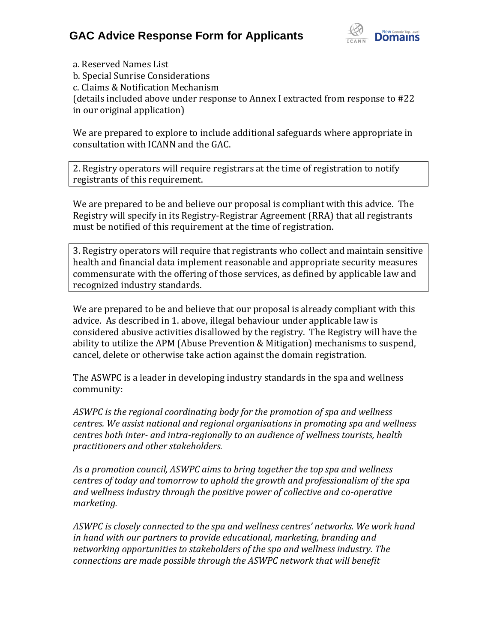

a. Reserved Names List b. Special Sunrise Considerations c. Claims & Notification Mechanism (details included above under response to Annex I extracted from response to #22 in our original application)

We are prepared to explore to include additional safeguards where appropriate in consultation with ICANN and the GAC.

2. Registry operators will require registrars at the time of registration to notify registrants of this requirement.

We are prepared to be and believe our proposal is compliant with this advice. The Registry will specify in its Registry-Registrar Agreement (RRA) that all registrants must be notified of this requirement at the time of registration.

3. Registry operators will require that registrants who collect and maintain sensitive health and financial data implement reasonable and appropriate security measures commensurate with the offering of those services, as defined by applicable law and recognized industry standards.

We are prepared to be and believe that our proposal is already compliant with this advice. As described in 1. above, illegal behaviour under applicable law is considered abusive activities disallowed by the registry. The Registry will have the ability to utilize the APM (Abuse Prevention & Mitigation) mechanisms to suspend, cancel, delete or otherwise take action against the domain registration.

The ASWPC is a leader in developing industry standards in the spa and wellness community:

*ASWPC is the regional coordinating body for the promotion of spa and wellness centres. We assist national and regional organisations in promoting spa and wellness centres both inter- and intra-regionally to an audience of wellness tourists, health practitioners and other stakeholders.*

*As a promotion council, ASWPC aims to bring together the top spa and wellness centres of today and tomorrow to uphold the growth and professionalism of the spa and wellness industry through the positive power of collective and co-operative marketing.*

ASWPC is closely connected to the spa and wellness centres' networks. We work hand *in hand with our partners to provide educational, marketing, branding and networking opportunities to stakeholders of the spa and wellness industry. The connections are made possible through the ASWPC network that will benefit*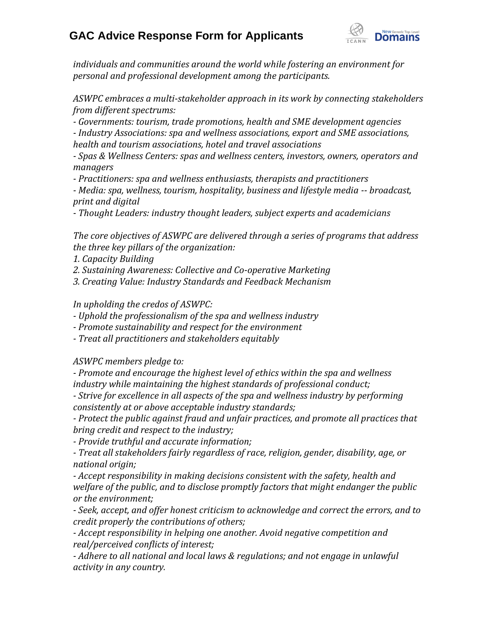

*individuals and communities around the world while fostering an environment for personal and professional development among the participants.*

*ASWPC embraces a multi-stakeholder approach in its work by connecting stakeholders from different spectrums:*

*- Governments: tourism, trade promotions, health and SME development agencies*

*- Industry Associations: spa and wellness associations, export and SME associations, health and tourism associations, hotel and travel associations*

*- Spas & Wellness Centers: spas and wellness centers, investors, owners, operators and managers*

*- Practitioners: spa and wellness enthusiasts, therapists and practitioners*

*- Media: spa, wellness, tourism, hospitality, business and lifestyle media -- broadcast, print and digital*

*- Thought Leaders: industry thought leaders, subject experts and academicians*

*The core objectives of ASWPC are delivered through a series of programs that address the three key pillars of the organization:*

*1. Capacity Building*

*2. Sustaining Awareness: Collective and Co-operative Marketing*

*3. Creating Value: Industry Standards and Feedback Mechanism*

*In upholding the credos of ASWPC:*

*- Uphold the professionalism of the spa and wellness industry*

*- Promote sustainability and respect for the environment*

*- Treat all practitioners and stakeholders equitably*

*ASWPC members pledge to:*

*- Promote and encourage the highest level of ethics within the spa and wellness industry while maintaining the highest standards of professional conduct;*

*- Strive for excellence in all aspects of the spa and wellness industry by performing consistently at or above acceptable industry standards;*

*- Protect the public against fraud and unfair practices, and promote all practices that bring credit and respect to the industry;*

*- Provide truthful and accurate information;*

*- Treat all stakeholders fairly regardless of race, religion, gender, disability, age, or national origin;*

*- Accept responsibility in making decisions consistent with the safety, health and welfare of the public, and to disclose promptly factors that might endanger the public or the environment;*

*- Seek, accept, and offer honest criticism to acknowledge and correct the errors, and to credit properly the contributions of others;*

*- Accept responsibility in helping one another. Avoid negative competition and real/perceived conflicts of interest;*

*- Adhere to all national and local laws & regulations; and not engage in unlawful activity in any country.*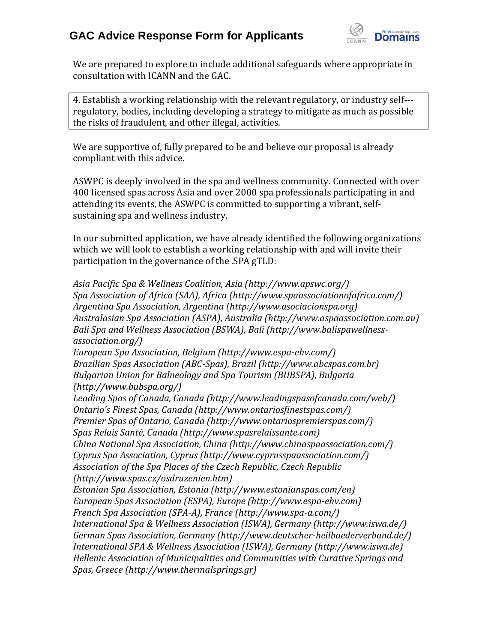

We are prepared to explore to include additional safeguards where appropriate in consultation with ICANN and the GAC.

4. Establish a working relationship with the relevant regulatory, or industry self regulatory, bodies, including developing a strategy to mitigate as much as possible the risks of fraudulent, and other illegal, activities.

We are supportive of, fully prepared to be and believe our proposal is already compliant with this advice.

ASWPC is deeply involved in the spa and wellness community. Connected with over 400 licensed spas across Asia and over 2000 spa professionals participating in and attending its events, the ASWPC is committed to supporting a vibrant, selfsustaining spa and wellness industry.

In our submitted application, we have already identified the following organizations which we will look to establish a working relationship with and will invite their participation in the governance of the .SPA gTLD:

*Asia Pacific Spa & Wellness Coalition, Asia (http://www.apswc.org/) Spa Association of Africa (SAA), Africa (http://www.spaassociationofafrica.com/) Argentina Spa Association, Argentina (http://www.asociacionspa.org) Australasian Spa Association (ASPA), Australia (http://www.aspaassociation.com.au) Bali Spa and Wellness Association (BSWA), Bali (http://www.balispawellnessassociation.org/) European Spa Association, Belgium (http://www.espa-ehv.com/) Brazilian Spas Association (ABC-Spas), Brazil (http://www.abcspas.com.br) Bulgarian Union for Balneology and Spa Tourism (BUBSPA), Bulgaria (http://www.bubspa.org/) Leading Spas of Canada, Canada (http://www.leadingspasofcanada.com/web/) Ontario's Finest Spas, Canada (http://www.ontariosfinestspas.com/) Premier Spas of Ontario, Canada (http://www.ontariospremierspas.com/) Spas Relais Santé, Canada (http://www.spasrelaissante.com) China National Spa Association, China (http://www.chinaspaassociation.com/) Cyprus Spa Association, Cyprus (http://www.cyprusspaassociation.com/) Association of the Spa Places of the Czech Republic, Czech Republic (http://www.spas.cz/osdruzenien.htm) Estonian Spa Association, Estonia (http://www.estonianspas.com/en) European Spas Association (ESPA), Europe (http://www.espa-ehv.com) French Spa Association (SPA-A), France (http://www.spa-a.com/) International Spa & Wellness Association (ISWA), Germany (http://www.iswa.de/) German Spas Association, Germany (http://www.deutscher-heilbaederverband.de/) International SPA & Wellness Association (ISWA), Germany (http://www.iswa.de) Hellenic Association of Municipalities and Communities with Curative Springs and Spas, Greece (http://www.thermalsprings.gr)*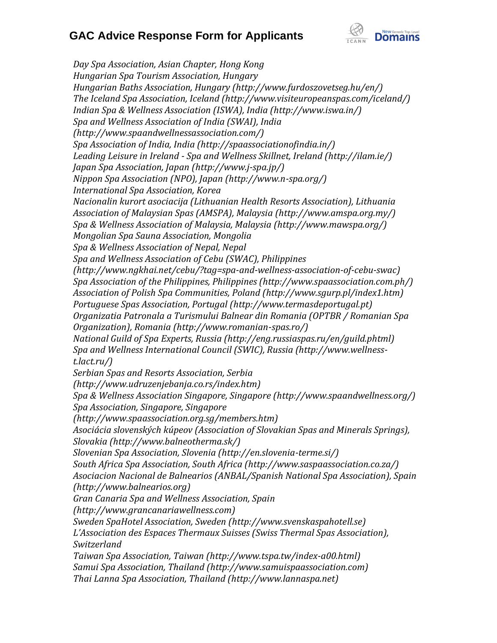

*Day Spa Association, Asian Chapter, Hong Kong Hungarian Spa Tourism Association, Hungary Hungarian Baths Association, Hungary (http://www.furdoszovetseg.hu/en/) The Iceland Spa Association, Iceland (http://www.visiteuropeanspas.com/iceland/) Indian Spa & Wellness Association (ISWA), India (http://www.iswa.in/) Spa and Wellness Association of India (SWAI), India (http://www.spaandwellnessassociation.com/) Spa Association of India, India (http://spaassociationofindia.in/) Leading Leisure in Ireland - Spa and Wellness Skillnet, Ireland (http://ilam.ie/) Japan Spa Association, Japan (http://www.j-spa.jp/) Nippon Spa Association (NPO), Japan (http://www.n-spa.org/) International Spa Association, Korea Nacionalin kurort asociacija (Lithuanian Health Resorts Association), Lithuania Association of Malaysian Spas (AMSPA), Malaysia (http://www.amspa.org.my/) Spa & Wellness Association of Malaysia, Malaysia (http://www.mawspa.org/) Mongolian Spa Sauna Association, Mongolia Spa & Wellness Association of Nepal, Nepal Spa and Wellness Association of Cebu (SWAC), Philippines (http://www.ngkhai.net/cebu/?tag=spa-and-wellness-association-of-cebu-swac) Spa Association of the Philippines, Philippines (http://www.spaassociation.com.ph/) Association of Polish Spa Communities, Poland (http://www.sgurp.pl/index1.htm) Portuguese Spas Association, Portugal (http://www.termasdeportugal.pt) Organizatia Patronala a Turismului Balnear din Romania (OPTBR / Romanian Spa Organization), Romania (http://www.romanian-spas.ro/) National Guild of Spa Experts, Russia (http://eng.russiaspas.ru/en/guild.phtml) Spa and Wellness International Council (SWIC), Russia (http://www.wellnesst.lact.ru/) Serbian Spas and Resorts Association, Serbia (http://www.udruzenjebanja.co.rs/index.htm) Spa & Wellness Association Singapore, Singapore (http://www.spaandwellness.org/) Spa Association, Singapore, Singapore (http://www.spaassociation.org.sg/members.htm) Asociácia slovenských kúpeov (Association of Slovakian Spas and Minerals Springs), Slovakia (http://www.balneotherma.sk/) Slovenian Spa Association, Slovenia (http://en.slovenia-terme.si/) South Africa Spa Association, South Africa (http://www.saspaassociation.co.za/) Asociacion Nacional de Balnearios (ANBAL/Spanish National Spa Association), Spain (http://www.balnearios.org) Gran Canaria Spa and Wellness Association, Spain (http://www.grancanariawellness.com) Sweden SpaHotel Association, Sweden (http://www.svenskaspahotell.se) L'Association des Espaces Thermaux Suisses (Swiss Thermal Spas Association), Switzerland Taiwan Spa Association, Taiwan (http://www.tspa.tw/index-a00.html) Samui Spa Association, Thailand (http://www.samuispaassociation.com) Thai Lanna Spa Association, Thailand (http://www.lannaspa.net)*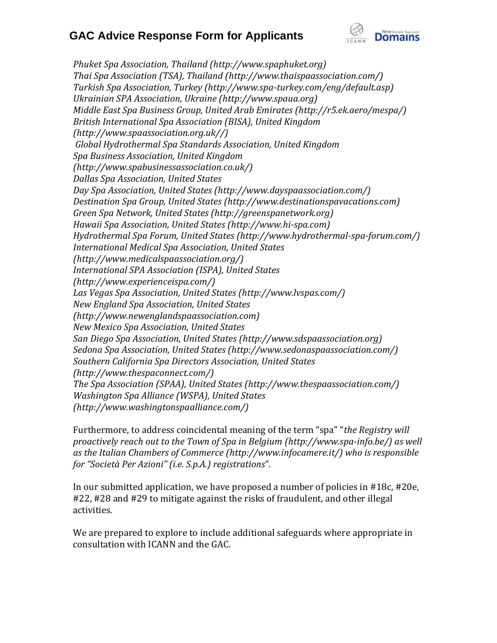

*Phuket Spa Association, Thailand (http://www.spaphuket.org) Thai Spa Association (TSA), Thailand (http://www.thaispaassociation.com/) Turkish Spa Association, Turkey (http://www.spa-turkey.com/eng/default.asp) Ukrainian SPA Association, Ukraine (http://www.spaua.org) Middle East Spa Business Group, United Arab Emirates (http://r5.ek.aero/mespa/) British International Spa Association (BISA), United Kingdom (http://www.spaassociation.org.uk//) Global Hydrothermal Spa Standards Association, United Kingdom Spa Business Association, United Kingdom (http://www.spabusinessassociation.co.uk/) Dallas Spa Association, United States Day Spa Association, United States (http://www.dayspaassociation.com/) Destination Spa Group, United States (http://www.destinationspavacations.com) Green Spa Network, United States (http://greenspanetwork.org) Hawaii Spa Association, United States (http://www.hi-spa.com) Hydrothermal Spa Forum, United States (http://www.hydrothermal-spa-forum.com/) International Medical Spa Association, United States (http://www.medicalspaassociation.org/) International SPA Association (ISPA), United States (http://www.experienceispa.com/) Las Vegas Spa Association, United States (http://www.lvspas.com/) New England Spa Association, United States (http://www.newenglandspaassociation.com) New Mexico Spa Association, United States San Diego Spa Association, United States (http://www.sdspaassociation.org) Sedona Spa Association, United States (http://www.sedonaspaassociation.com/) Southern California Spa Directors Association, United States (http://www.thespaconnect.com/) The Spa Association (SPAA), United States (http://www.thespaassociation.com/) Washington Spa Alliance (WSPA), United States (http://www.washingtonspaalliance.com/)*

Furthermore, to address coincidental meaning of the term "spa" "*the Registry will proactively reach out to the Town of Spa in Belgium (http://www.spa-info.be/) as well as the Italian Chambers of Commerce (http://www.infocamere.it/) who is responsible for "Società Per Azioni" (i.e. S.p.A.) registrations*".

In our submitted application, we have proposed a number of policies in #18c, #20e, #22, #28 and #29 to mitigate against the risks of fraudulent, and other illegal activities.

We are prepared to explore to include additional safeguards where appropriate in consultation with ICANN and the GAC.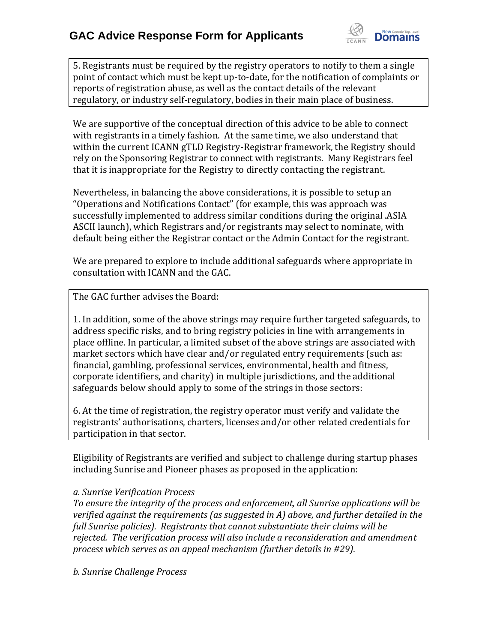

5. Registrants must be required by the registry operators to notify to them a single point of contact which must be kept up-to-date, for the notification of complaints or reports of registration abuse, as well as the contact details of the relevant regulatory, or industry self-regulatory, bodies in their main place of business.

We are supportive of the conceptual direction of this advice to be able to connect with registrants in a timely fashion. At the same time, we also understand that within the current ICANN gTLD Registry-Registrar framework, the Registry should rely on the Sponsoring Registrar to connect with registrants. Many Registrars feel that it is inappropriate for the Registry to directly contacting the registrant.

Nevertheless, in balancing the above considerations, it is possible to setup an "Operations and Notifications Contact" (for example, this was approach was successfully implemented to address similar conditions during the original .ASIA ASCII launch), which Registrars and/or registrants may select to nominate, with default being either the Registrar contact or the Admin Contact for the registrant.

We are prepared to explore to include additional safeguards where appropriate in consultation with ICANN and the GAC.

The GAC further advises the Board:

1. In addition, some of the above strings may require further targeted safeguards, to address specific risks, and to bring registry policies in line with arrangements in place offline. In particular, a limited subset of the above strings are associated with market sectors which have clear and/or regulated entry requirements (such as: financial, gambling, professional services, environmental, health and fitness, corporate identifiers, and charity) in multiple jurisdictions, and the additional safeguards below should apply to some of the strings in those sectors:

6. At the time of registration, the registry operator must verify and validate the registrants' authorisations, charters, licenses and/or other related credentials for participation in that sector.

Eligibility of Registrants are verified and subject to challenge during startup phases including Sunrise and Pioneer phases as proposed in the application:

### *a. Sunrise Verification Process*

*To ensure the integrity of the process and enforcement, all Sunrise applications will be verified against the requirements (as suggested in A) above, and further detailed in the full Sunrise policies). Registrants that cannot substantiate their claims will be rejected. The verification process will also include a reconsideration and amendment process which serves as an appeal mechanism (further details in #29).*

*b. Sunrise Challenge Process*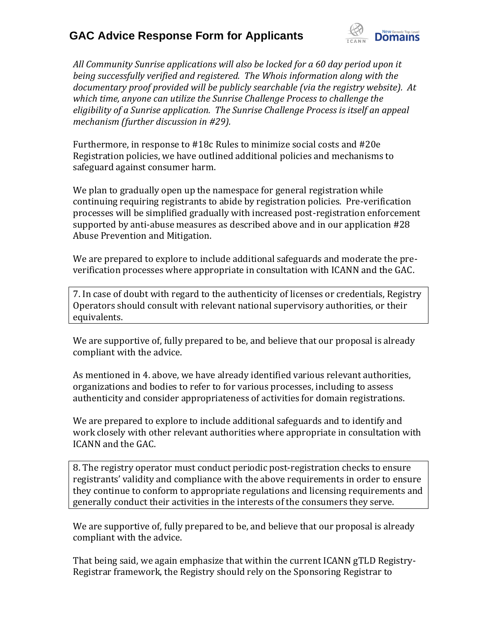

*All Community Sunrise applications will also be locked for a 60 day period upon it being successfully verified and registered. The Whois information along with the documentary proof provided will be publicly searchable (via the registry website). At which time, anyone can utilize the Sunrise Challenge Process to challenge the eligibility of a Sunrise application. The Sunrise Challenge Process is itself an appeal mechanism (further discussion in #29).*

Furthermore, in response to #18c Rules to minimize social costs and #20e Registration policies, we have outlined additional policies and mechanisms to safeguard against consumer harm.

We plan to gradually open up the namespace for general registration while continuing requiring registrants to abide by registration policies. Pre-verification processes will be simplified gradually with increased post-registration enforcement supported by anti-abuse measures as described above and in our application #28 Abuse Prevention and Mitigation.

We are prepared to explore to include additional safeguards and moderate the preverification processes where appropriate in consultation with ICANN and the GAC.

7. In case of doubt with regard to the authenticity of licenses or credentials, Registry Operators should consult with relevant national supervisory authorities, or their equivalents.

We are supportive of, fully prepared to be, and believe that our proposal is already compliant with the advice.

As mentioned in 4. above, we have already identified various relevant authorities, organizations and bodies to refer to for various processes, including to assess authenticity and consider appropriateness of activities for domain registrations.

We are prepared to explore to include additional safeguards and to identify and work closely with other relevant authorities where appropriate in consultation with ICANN and the GAC.

8. The registry operator must conduct periodic post-registration checks to ensure registrants' validity and compliance with the above requirements in order to ensure they continue to conform to appropriate regulations and licensing requirements and generally conduct their activities in the interests of the consumers they serve.

We are supportive of, fully prepared to be, and believe that our proposal is already compliant with the advice.

That being said, we again emphasize that within the current ICANN gTLD Registry-Registrar framework, the Registry should rely on the Sponsoring Registrar to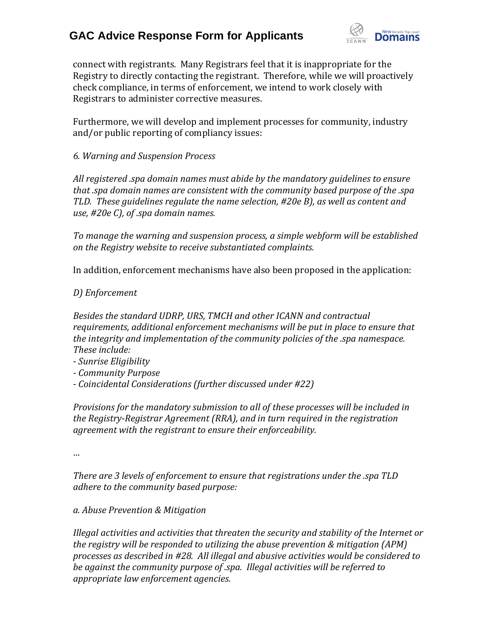

connect with registrants. Many Registrars feel that it is inappropriate for the Registry to directly contacting the registrant. Therefore, while we will proactively check compliance, in terms of enforcement, we intend to work closely with Registrars to administer corrective measures.

Furthermore, we will develop and implement processes for community, industry and/or public reporting of compliancy issues:

*6. Warning and Suspension Process*

*All registered .spa domain names must abide by the mandatory guidelines to ensure that .spa domain names are consistent with the community based purpose of the .spa TLD. These guidelines regulate the name selection, #20e B), as well as content and use, #20e C), of .spa domain names.*

*To manage the warning and suspension process, a simple webform will be established on the Registry website to receive substantiated complaints.* 

In addition, enforcement mechanisms have also been proposed in the application:

*D) Enforcement*

*Besides the standard UDRP, URS, TMCH and other ICANN and contractual requirements, additional enforcement mechanisms will be put in place to ensure that the integrity and implementation of the community policies of the .spa namespace. These include:*

- *- Sunrise Eligibility*
- *- Community Purpose*
- *- Coincidental Considerations (further discussed under #22)*

*Provisions for the mandatory submission to all of these processes will be included in the Registry-Registrar Agreement (RRA), and in turn required in the registration agreement with the registrant to ensure their enforceability.*

*…*

*There are 3 levels of enforcement to ensure that registrations under the .spa TLD adhere to the community based purpose:*

*a. Abuse Prevention & Mitigation*

*Illegal activities and activities that threaten the security and stability of the Internet or the registry will be responded to utilizing the abuse prevention & mitigation (APM) processes as described in #28. All illegal and abusive activities would be considered to be against the community purpose of .spa. Illegal activities will be referred to appropriate law enforcement agencies.*